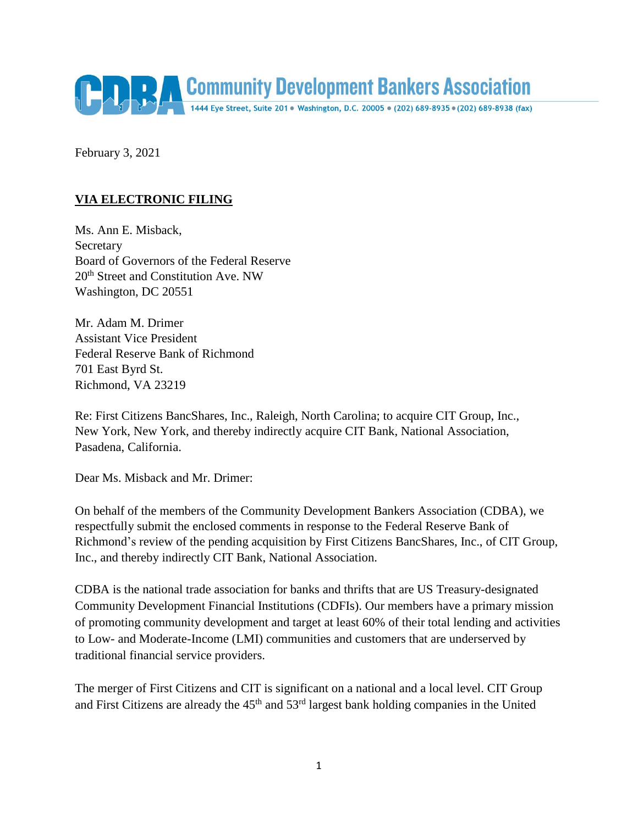

February 3, 2021

## **VIA ELECTRONIC FILING**

Ms. Ann E. Misback, Secretary Board of Governors of the Federal Reserve 20<sup>th</sup> Street and Constitution Ave. NW Washington, DC 20551

Mr. Adam M. Drimer Assistant Vice President Federal Reserve Bank of Richmond 701 East Byrd St. Richmond, VA 23219

Re: First Citizens BancShares, Inc., Raleigh, North Carolina; to acquire CIT Group, Inc., New York, New York, and thereby indirectly acquire CIT Bank, National Association, Pasadena, California.

Dear Ms. Misback and Mr. Drimer:

On behalf of the members of the Community Development Bankers Association (CDBA), we respectfully submit the enclosed comments in response to the Federal Reserve Bank of Richmond's review of the pending acquisition by First Citizens BancShares, Inc., of CIT Group, Inc., and thereby indirectly CIT Bank, National Association.

CDBA is the national trade association for banks and thrifts that are US Treasury-designated Community Development Financial Institutions (CDFIs). Our members have a primary mission of promoting community development and target at least 60% of their total lending and activities to Low- and Moderate-Income (LMI) communities and customers that are underserved by traditional financial service providers.

The merger of First Citizens and CIT is significant on a national and a local level. CIT Group and First Citizens are already the  $45<sup>th</sup>$  and  $53<sup>rd</sup>$  largest bank holding companies in the United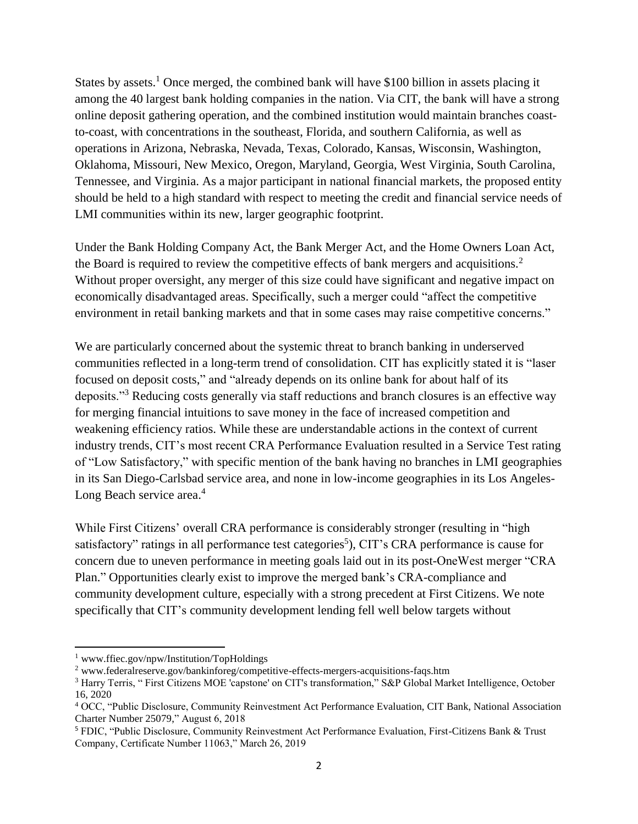States by assets.<sup>1</sup> Once merged, the combined bank will have \$100 billion in assets placing it among the 40 largest bank holding companies in the nation. Via CIT, the bank will have a strong online deposit gathering operation, and the combined institution would maintain branches coastto-coast, with concentrations in the southeast, Florida, and southern California, as well as operations in Arizona, Nebraska, Nevada, Texas, Colorado, Kansas, Wisconsin, Washington, Oklahoma, Missouri, New Mexico, Oregon, Maryland, Georgia, West Virginia, South Carolina, Tennessee, and Virginia. As a major participant in national financial markets, the proposed entity should be held to a high standard with respect to meeting the credit and financial service needs of LMI communities within its new, larger geographic footprint.

Under the Bank Holding Company Act, the Bank Merger Act, and the Home Owners Loan Act, the Board is required to review the competitive effects of bank mergers and acquisitions.<sup>2</sup> Without proper oversight, any merger of this size could have significant and negative impact on economically disadvantaged areas. Specifically, such a merger could "affect the competitive environment in retail banking markets and that in some cases may raise competitive concerns."

We are particularly concerned about the systemic threat to branch banking in underserved communities reflected in a long-term trend of consolidation. CIT has explicitly stated it is "laser focused on deposit costs," and "already depends on its online bank for about half of its deposits."<sup>3</sup> Reducing costs generally via staff reductions and branch closures is an effective way for merging financial intuitions to save money in the face of increased competition and weakening efficiency ratios. While these are understandable actions in the context of current industry trends, CIT's most recent CRA Performance Evaluation resulted in a Service Test rating of "Low Satisfactory," with specific mention of the bank having no branches in LMI geographies in its San Diego-Carlsbad service area, and none in low-income geographies in its Los Angeles-Long Beach service area.<sup>4</sup>

While First Citizens' overall CRA performance is considerably stronger (resulting in "high satisfactory" ratings in all performance test categories<sup>5</sup>), CIT's CRA performance is cause for concern due to uneven performance in meeting goals laid out in its post-OneWest merger "CRA Plan." Opportunities clearly exist to improve the merged bank's CRA-compliance and community development culture, especially with a strong precedent at First Citizens. We note specifically that CIT's community development lending fell well below targets without

l

<sup>&</sup>lt;sup>1</sup> www.ffiec.gov/npw/Institution/TopHoldings

<sup>2</sup> www.federalreserve.gov/bankinforeg/competitive-effects-mergers-acquisitions-faqs.htm

<sup>3</sup> Harry Terris, " First Citizens MOE 'capstone' on CIT's transformation," S&P Global Market Intelligence, October 16, 2020

<sup>4</sup> OCC, "Public Disclosure, Community Reinvestment Act Performance Evaluation, CIT Bank, National Association Charter Number 25079," August 6, 2018

<sup>5</sup> FDIC, "Public Disclosure, Community Reinvestment Act Performance Evaluation, First-Citizens Bank & Trust Company, Certificate Number 11063," March 26, 2019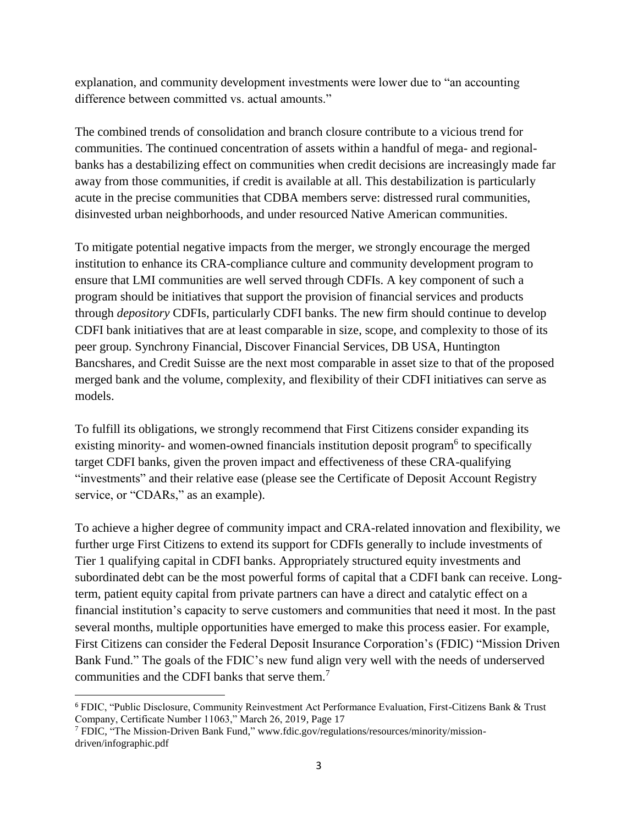explanation, and community development investments were lower due to "an accounting difference between committed vs. actual amounts."

The combined trends of consolidation and branch closure contribute to a vicious trend for communities. The continued concentration of assets within a handful of mega- and regionalbanks has a destabilizing effect on communities when credit decisions are increasingly made far away from those communities, if credit is available at all. This destabilization is particularly acute in the precise communities that CDBA members serve: distressed rural communities, disinvested urban neighborhoods, and under resourced Native American communities.

To mitigate potential negative impacts from the merger, we strongly encourage the merged institution to enhance its CRA-compliance culture and community development program to ensure that LMI communities are well served through CDFIs. A key component of such a program should be initiatives that support the provision of financial services and products through *depository* CDFIs, particularly CDFI banks. The new firm should continue to develop CDFI bank initiatives that are at least comparable in size, scope, and complexity to those of its peer group. Synchrony Financial, Discover Financial Services, DB USA, Huntington Bancshares, and Credit Suisse are the next most comparable in asset size to that of the proposed merged bank and the volume, complexity, and flexibility of their CDFI initiatives can serve as models.

To fulfill its obligations, we strongly recommend that First Citizens consider expanding its existing minority- and women-owned financials institution deposit program<sup>6</sup> to specifically target CDFI banks, given the proven impact and effectiveness of these CRA-qualifying "investments" and their relative ease (please see the Certificate of Deposit Account Registry service, or "CDARs," as an example).

To achieve a higher degree of community impact and CRA-related innovation and flexibility, we further urge First Citizens to extend its support for CDFIs generally to include investments of Tier 1 qualifying capital in CDFI banks. Appropriately structured equity investments and subordinated debt can be the most powerful forms of capital that a CDFI bank can receive. Longterm, patient equity capital from private partners can have a direct and catalytic effect on a financial institution's capacity to serve customers and communities that need it most. In the past several months, multiple opportunities have emerged to make this process easier. For example, First Citizens can consider the Federal Deposit Insurance Corporation's (FDIC) "Mission Driven Bank Fund." The goals of the FDIC's new fund align very well with the needs of underserved communities and the CDFI banks that serve them. 7

 $\overline{a}$ 

<sup>6</sup> FDIC, "Public Disclosure, Community Reinvestment Act Performance Evaluation, First-Citizens Bank & Trust Company, Certificate Number 11063," March 26, 2019, Page 17

<sup>7</sup> FDIC, "The Mission-Driven Bank Fund," www.fdic.gov/regulations/resources/minority/missiondriven/infographic.pdf